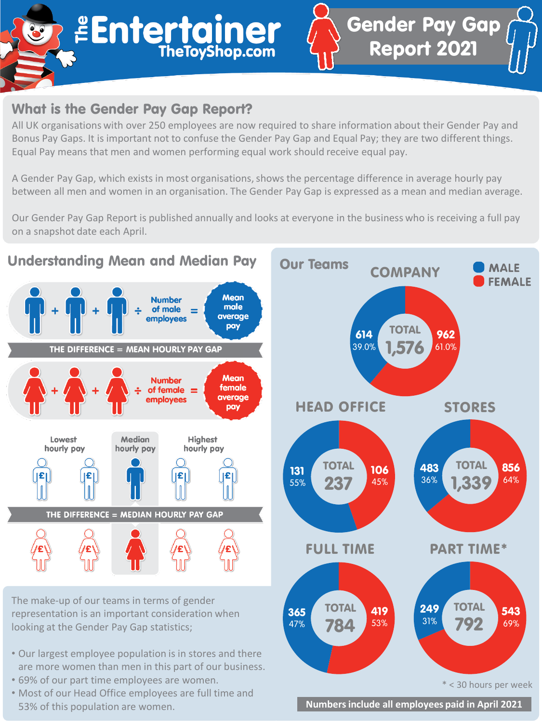# **BENTERTAINER**

# What is the Gender Pay Gap Report?

All UK organisations with over 250 employees are now required to share information about their Gender Pay and Bonus Pay Gaps. It is important not to confuse the Gender Pay Gap and Equal Pay; they are two different things. Equal Pay means that men and women performing equal work should receive equal pay.

A Gender Pay Gap, which exists in most organisations, shows the percentage difference in average hourly pay between all men and women in an organisation. The Gender Pay Gap is expressed as a mean and median average.

Our Gender Pay Gap Report is published annually and looks at everyone in the business who is receiving a full pay on a snapshot date each April.



• Most of our Head Office employees are full time and 53% of this population are women.



Gender Pay Gap

Report 2021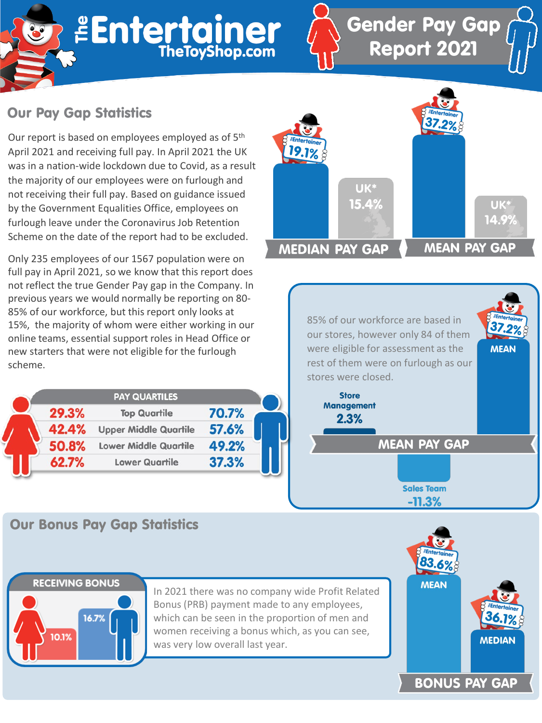

## Our Pay Gap Statistics

Our report is based on employees employed as of 5th April 2021 and receiving full pay. In April 2021 the UK was in a nation-wide lockdown due to Covid, as a result the majority of our employees were on furlough and not receiving their full pay. Based on guidance issued by the Government Equalities Office, employees on furlough leave under the Coronavirus Job Retention Scheme on the date of the report had to be excluded.

Only 235 employees of our 1567 population were on full pay in April 2021, so we know that this report does not reflect the true Gender Pay gap in the Company. In previous years we would normally be reporting on 80- 85% of our workforce, but this report only looks at 15%, the majority of whom were either working in our online teams, essential support roles in Head Office or new starters that were not eligible for the furlough scheme.

|  |       | <b>PAY QUARTILES</b>         |       |
|--|-------|------------------------------|-------|
|  | 29.3% | <b>Top Quartile</b>          | 70.7% |
|  | 42.4% | <b>Upper Middle Quartile</b> | 57.6% |
|  | 50.8% | <b>Lower Middle Quartile</b> | 49.2% |
|  | 62.7% | <b>Lower Quartile</b>        | 37.3% |



Gender Pay Gap

Report 2021

85% of our workforce are based in our stores, however only 84 of them were eligible for assessment as the rest of them were on furlough as our stores were closed.

**MEAN PAY GAP** 

**Sales Team**  $-11.3%$ 

**Store Management**  $2.3%$ 

Our Bonus Pay Gap Statistics



**MEAN** 

### **RECEIVING BONUS**



In 2021 there was no company wide Profit Related Bonus (PRB) payment made to any employees, which can be seen in the proportion of men and women receiving a bonus which, as you can see, was very low overall last year.